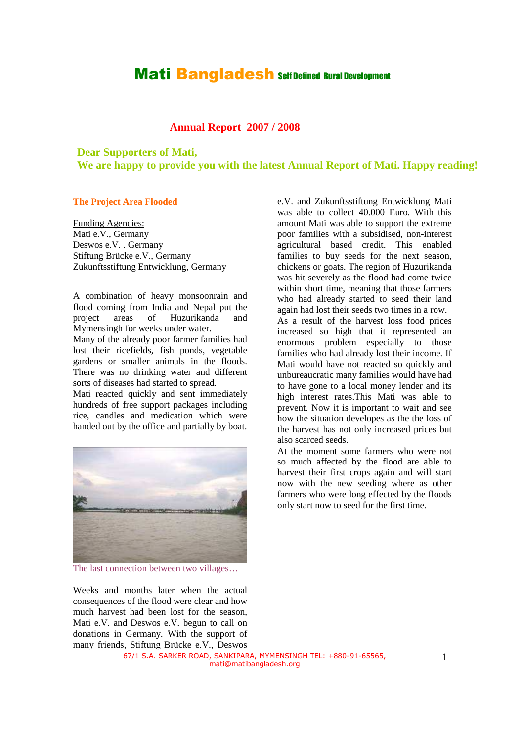### **Annual Report 2007 / 2008**

**Dear Supporters of Mati,** 

**We are happy to provide you with the latest Annual Report of Mati. Happy reading!**

### **The Project Area Flooded**

Funding Agencies: Mati e.V., Germany Deswos e.V. . Germany Stiftung Brücke e.V., Germany Zukunftsstiftung Entwicklung, Germany

A combination of heavy monsoonrain and flood coming from India and Nepal put the project areas of Huzurikanda and Mymensingh for weeks under water.

Many of the already poor farmer families had lost their ricefields, fish ponds, vegetable gardens or smaller animals in the floods. There was no drinking water and different sorts of diseases had started to spread.

Mati reacted quickly and sent immediately hundreds of free support packages including rice, candles and medication which were handed out by the office and partially by boat.



The last connection between two villages…

Weeks and months later when the actual consequences of the flood were clear and how much harvest had been lost for the season, Mati e.V. and Deswos e.V. begun to call on donations in Germany. With the support of many friends, Stiftung Brücke e.V., Deswos

e.V. and Zukunftsstiftung Entwicklung Mati was able to collect 40.000 Euro. With this amount Mati was able to support the extreme poor families with a subsidised, non-interest agricultural based credit. This enabled families to buy seeds for the next season, chickens or goats. The region of Huzurikanda was hit severely as the flood had come twice within short time, meaning that those farmers who had already started to seed their land again had lost their seeds two times in a row. As a result of the harvest loss food prices increased so high that it represented an enormous problem especially to those families who had already lost their income. If Mati would have not reacted so quickly and unbureaucratic many families would have had to have gone to a local money lender and its high interest rates.This Mati was able to prevent. Now it is important to wait and see how the situation developes as the the loss of the harvest has not only increased prices but also scarced seeds.

At the moment some farmers who were not so much affected by the flood are able to harvest their first crops again and will start now with the new seeding where as other farmers who were long effected by the floods only start now to seed for the first time.

67/1 S.A. SARKER ROAD, SANKIPARA, MYMENSINGH TEL: +880-91-65565, mati@matibangladesh.org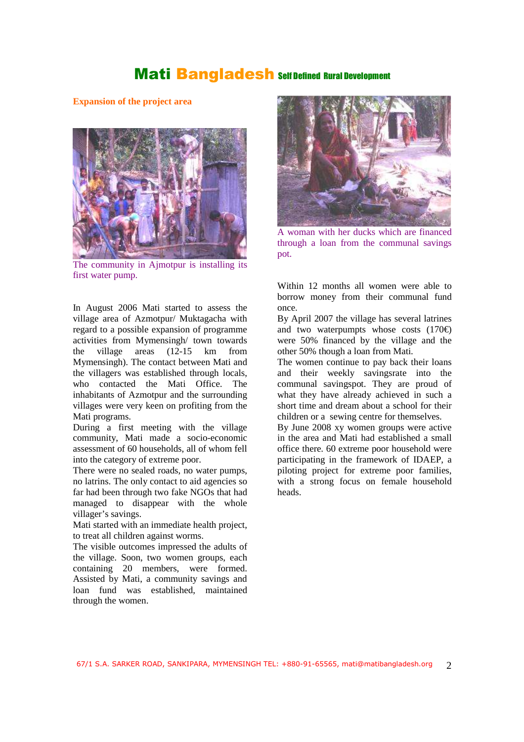**Expansion of the project area**



The community in Ajmotpur is installing its first water pump.

In August 2006 Mati started to assess the village area of Azmotpur/ Muktagacha with regard to a possible expansion of programme activities from Mymensingh/ town towards the village areas (12-15 km from Mymensingh). The contact between Mati and the villagers was established through locals, who contacted the Mati Office. The inhabitants of Azmotpur and the surrounding villages were very keen on profiting from the Mati programs.

During a first meeting with the village community, Mati made a socio-economic assessment of 60 households, all of whom fell into the category of extreme poor.

There were no sealed roads, no water pumps, no latrins. The only contact to aid agencies so far had been through two fake NGOs that had managed to disappear with the whole villager's savings.

Mati started with an immediate health project, to treat all children against worms.

The visible outcomes impressed the adults of the village. Soon, two women groups, each containing 20 members, were formed. Assisted by Mati, a community savings and loan fund was established, maintained through the women.



A woman with her ducks which are financed through a loan from the communal savings pot.

Within 12 months all women were able to borrow money from their communal fund once.

By April 2007 the village has several latrines and two waterpumpts whose costs  $(170 \epsilon)$ were 50% financed by the village and the other 50% though a loan from Mati.

The women continue to pay back their loans and their weekly savingsrate into the communal savingspot. They are proud of what they have already achieved in such a short time and dream about a school for their children or a sewing centre for themselves.

By June 2008 xy women groups were active in the area and Mati had established a small office there. 60 extreme poor household were participating in the framework of IDAEP, a piloting project for extreme poor families, with a strong focus on female household heads.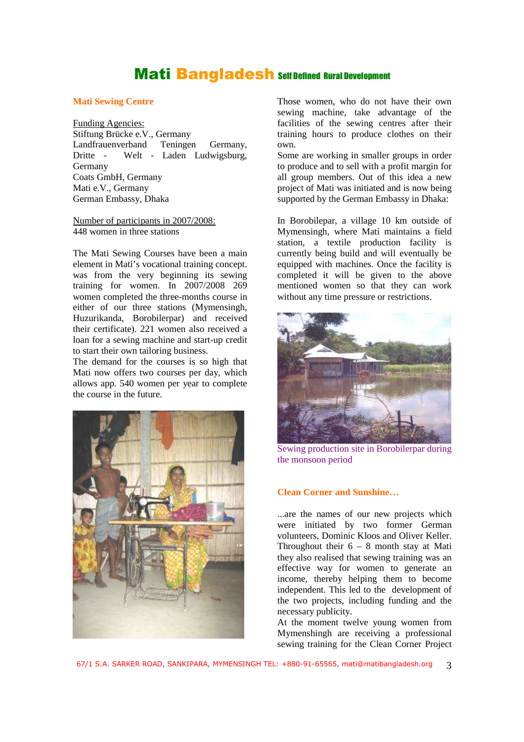### **Mati Sewing Centre**

Funding Agencies: Stiftung Brücke e.V., Germany Landfrauenverband Teningen Germany, Dritte - Welt - Laden Ludwigsburg, Germany Coats GmbH, Germany Mati e.V., Germany German Embassy, Dhaka

Number of participants in 2007/2008: 448 women in three stations

The Mati Sewing Courses have been a main element in Mati's vocational training concept. was from the very beginning its sewing training for women. In 2007/2008 269 women completed the three-months course in either of our three stations (Mymensingh, Huzurikanda, Borobilerpar) and received their certificate). 221 women also received a loan for a sewing machine and start-up credit to start their own tailoring business.

The demand for the courses is so high that Mati now offers two courses per day, which allows app. 540 women per year to complete the course in the future.



Those women, who do not have their own sewing machine, take advantage of the facilities of the sewing centres after their training hours to produce clothes on their own.

Some are working in smaller groups in order to produce and to sell with a profit margin for all group members. Out of this idea a new project of Mati was initiated and is now being supported by the German Embassy in Dhaka:

In Borobilepar, a village 10 km outside of Mymensingh, where Mati maintains a field station, a textile production facility is currently being build and will eventually be equipped with machines. Once the facility is completed it will be given to the above mentioned women so that they can work without any time pressure or restrictions.



Sewing production site in Borobilerpar during the monsoon period

#### **Clean Corner and Sunshine…**

...are the names of our new projects which were initiated by two former German volunteers, Dominic Kloos and Oliver Keller. Throughout their  $6 - 8$  month stay at Mati they also realised that sewing training was an effective way for women to generate an income, thereby helping them to become independent. This led to the development of the two projects, including funding and the necessary publicity.

At the moment twelve young women from Mymenshingh are receiving a professional sewing training for the Clean Corner Project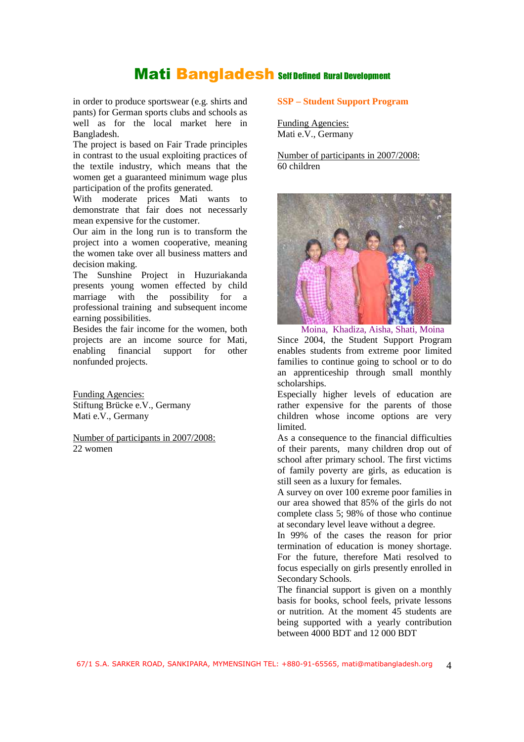in order to produce sportswear (e.g. shirts and pants) for German sports clubs and schools as well as for the local market here in Bangladesh.

The project is based on Fair Trade principles in contrast to the usual exploiting practices of the textile industry, which means that the women get a guaranteed minimum wage plus participation of the profits generated.

With moderate prices Mati wants to demonstrate that fair does not necessarly mean expensive for the customer.

Our aim in the long run is to transform the project into a women cooperative, meaning the women take over all business matters and decision making.

The Sunshine Project in Huzuriakanda presents young women effected by child marriage with the possibility for a professional training and subsequent income earning possibilities.

Besides the fair income for the women, both projects are an income source for Mati, enabling financial support for other nonfunded projects.

Funding Agencies: Stiftung Brücke e.V., Germany Mati e.V., Germany

Number of participants in 2007/2008: 22 women

### **SSP – Student Support Program**

Funding Agencies: Mati e.V., Germany

Number of participants in 2007/2008: 60 children



Moina, Khadiza, Aisha, Shati, Moina

Since 2004, the Student Support Program enables students from extreme poor limited families to continue going to school or to do an apprenticeship through small monthly scholarships.

Especially higher levels of education are rather expensive for the parents of those children whose income options are very limited.

As a consequence to the financial difficulties of their parents, many children drop out of school after primary school. The first victims of family poverty are girls, as education is still seen as a luxury for females.

A survey on over 100 exreme poor families in our area showed that 85% of the girls do not complete class 5; 98% of those who continue at secondary level leave without a degree.

In 99% of the cases the reason for prior termination of education is money shortage. For the future, therefore Mati resolved to focus especially on girls presently enrolled in Secondary Schools.

The financial support is given on a monthly basis for books, school feels, private lessons or nutrition. At the moment 45 students are being supported with a yearly contribution between 4000 BDT and 12 000 BDT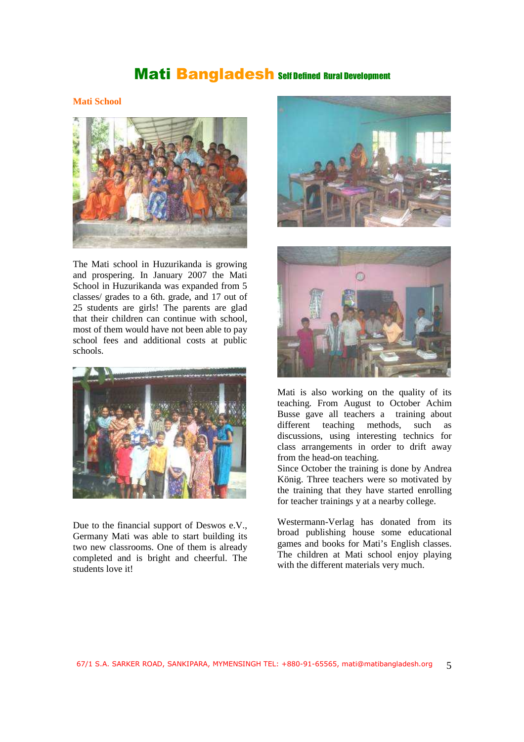#### **Mati School**



The Mati school in Huzurikanda is growing and prospering. In January 2007 the Mati School in Huzurikanda was expanded from 5 classes/ grades to a 6th. grade, and 17 out of 25 students are girls! The parents are glad that their children can continue with school, most of them would have not been able to pay school fees and additional costs at public schools.



Due to the financial support of Deswos e.V., Germany Mati was able to start building its two new classrooms. One of them is already completed and is bright and cheerful. The students love it!





Mati is also working on the quality of its teaching. From August to October Achim Busse gave all teachers a training about different teaching methods, such as discussions, using interesting technics for class arrangements in order to drift away from the head-on teaching.

Since October the training is done by Andrea König. Three teachers were so motivated by the training that they have started enrolling for teacher trainings y at a nearby college.

Westermann-Verlag has donated from its broad publishing house some educational games and books for Mati's English classes. The children at Mati school enjoy playing with the different materials very much.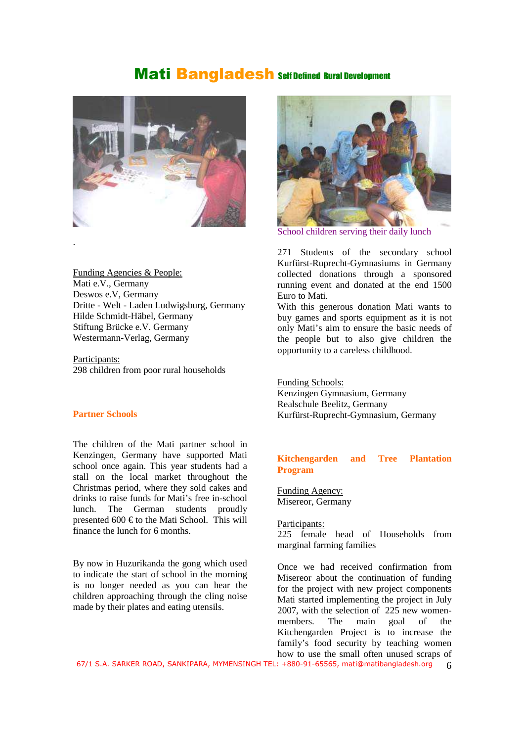

Funding Agencies & People: Mati e.V., Germany Deswos e.V, Germany Dritte - Welt - Laden Ludwigsburg, Germany Hilde Schmidt-Häbel, Germany Stiftung Brücke e.V. Germany Westermann-Verlag, Germany

Participants: 298 children from poor rural households

### **Partner Schools**

.

The children of the Mati partner school in Kenzingen, Germany have supported Mati school once again. This year students had a stall on the local market throughout the Christmas period, where they sold cakes and drinks to raise funds for Mati's free in-school lunch. The German students proudly presented 600  $\in$  to the Mati School. This will finance the lunch for 6 months.

By now in Huzurikanda the gong which used to indicate the start of school in the morning is no longer needed as you can hear the children approaching through the cling noise made by their plates and eating utensils.



School children serving their daily lunch

271 Students of the secondary school Kurfürst-Ruprecht-Gymnasiums in Germany collected donations through a sponsored running event and donated at the end 1500 Euro to Mati.

With this generous donation Mati wants to buy games and sports equipment as it is not only Mati's aim to ensure the basic needs of the people but to also give children the opportunity to a careless childhood.

Funding Schools: Kenzingen Gymnasium, Germany Realschule Beelitz, Germany Kurfürst-Ruprecht-Gymnasium, Germany

### **Kitchengarden and Tree Plantation Program**

Funding Agency: Misereor, Germany

Participants:

225 female head of Households from marginal farming families

Once we had received confirmation from Misereor about the continuation of funding for the project with new project components Mati started implementing the project in July 2007, with the selection of 225 new womenmembers. The main goal of the Kitchengarden Project is to increase the family's food security by teaching women how to use the small often unused scraps of

67/1 S.A. SARKER ROAD, SANKIPARA, MYMENSINGH TEL: +880-91-65565, mati@matibangladesh.org 6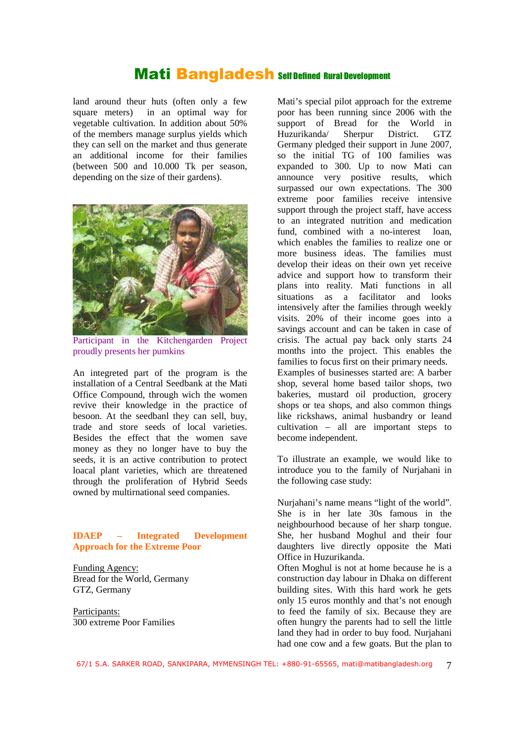land around theur huts (often only a few<br>square meters) in an optimal way for in an optimal way for vegetable cultivation. In addition about 50% of the members manage surplus yields which they can sell on the market and thus generate an additional income for their families (between 500 and 10.000 Tk per season, depending on the size of their gardens).



Participant in the Kitchengarden Project proudly presents her pumkins

An integreted part of the program is the installation of a Central Seedbank at the Mati Office Compound, through wich the women revive their knowledge in the practice of besoon. At the seedbanl they can sell, buy, trade and store seeds of local varieties. Besides the effect that the women save money as they no longer have to buy the seeds, it is an active contribution to protect loacal plant varieties, which are threatened through the proliferation of Hybrid Seeds owned by multirnational seed companies.

#### **IDAEP – Integrated Development Approach for the Extreme Poor**

Funding Agency: Bread for the World, Germany GTZ, Germany

Participants: 300 extreme Poor Families

Mati's special pilot approach for the extreme poor has been running since 2006 with the support of Bread for the World in Huzurikanda/ Sherpur District. GTZ Germany pledged their support in June 2007, so the initial TG of 100 families was expanded to 300. Up to now Mati can announce very positive results, which surpassed our own expectations. The 300 extreme poor families receive intensive support through the project staff, have access to an integrated nutrition and medication fund, combined with a no-interest loan, which enables the families to realize one or more business ideas. The families must develop their ideas on their own yet receive advice and support how to transform their plans into reality. Mati functions in all situations as a facilitator and looks intensively after the families through weekly visits. 20% of their income goes into a savings account and can be taken in case of crisis. The actual pay back only starts 24 months into the project. This enables the families to focus first on their primary needs. Examples of businesses started are: A barber shop, several home based tailor shops, two bakeries, mustard oil production, grocery shops or tea shops, and also common things like rickshaws, animal husbandry or leand cultivation – all are important steps to become independent.

To illustrate an example, we would like to introduce you to the family of Nurjahani in the following case study:

Nurjahani's name means "light of the world". She is in her late 30s famous in the neighbourhood because of her sharp tongue. She, her husband Moghul and their four daughters live directly opposite the Mati Office in Huzurikanda.

Often Moghul is not at home because he is a construction day labour in Dhaka on different building sites. With this hard work he gets only 15 euros monthly and that's not enough to feed the family of six. Because they are often hungry the parents had to sell the little land they had in order to buy food. Nurjahani had one cow and a few goats. But the plan to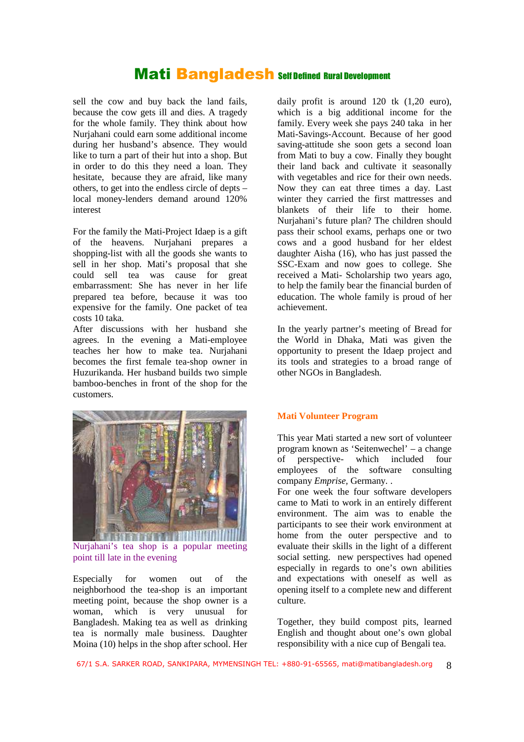sell the cow and buy back the land fails, because the cow gets ill and dies. A tragedy for the whole family. They think about how Nurjahani could earn some additional income during her husband's absence. They would like to turn a part of their hut into a shop. But in order to do this they need a loan. They hesitate, because they are afraid, like many others, to get into the endless circle of depts – local money-lenders demand around 120% interest

For the family the Mati-Project Idaep is a gift of the heavens. Nurjahani prepares a shopping-list with all the goods she wants to sell in her shop. Mati's proposal that she could sell tea was cause for great embarrassment: She has never in her life prepared tea before, because it was too expensive for the family. One packet of tea costs 10 taka.

After discussions with her husband she agrees. In the evening a Mati-employee teaches her how to make tea. Nurjahani becomes the first female tea-shop owner in Huzurikanda. Her husband builds two simple bamboo-benches in front of the shop for the customers.



Nurjahani's tea shop is a popular meeting point till late in the evening

Especially for women out of the neighborhood the tea-shop is an important meeting point, because the shop owner is a woman, which is very unusual for Bangladesh. Making tea as well as drinking tea is normally male business. Daughter Moina (10) helps in the shop after school. Her

daily profit is around 120 tk (1,20 euro), which is a big additional income for the family. Every week she pays 240 taka in her Mati-Savings-Account. Because of her good saving-attitude she soon gets a second loan from Mati to buy a cow. Finally they bought their land back and cultivate it seasonally with vegetables and rice for their own needs. Now they can eat three times a day. Last winter they carried the first mattresses and blankets of their life to their home. Nurjahani's future plan? The children should pass their school exams, perhaps one or two cows and a good husband for her eldest daughter Aisha (16), who has just passed the SSC-Exam and now goes to college. She received a Mati- Scholarship two years ago, to help the family bear the financial burden of education. The whole family is proud of her achievement.

In the yearly partner's meeting of Bread for the World in Dhaka, Mati was given the opportunity to present the Idaep project and its tools and strategies to a broad range of other NGOs in Bangladesh.

#### **Mati Volunteer Program**

This year Mati started a new sort of volunteer program known as 'Seitenwechel' – a change of perspective- which included four employees of the software consulting company *Emprise,* Germany. .

For one week the four software developers came to Mati to work in an entirely different environment. The aim was to enable the participants to see their work environment at home from the outer perspective and to evaluate their skills in the light of a different social setting. new perspectives had opened especially in regards to one's own abilities and expectations with oneself as well as opening itself to a complete new and different culture.

Together, they build compost pits, learned English and thought about one's own global responsibility with a nice cup of Bengali tea.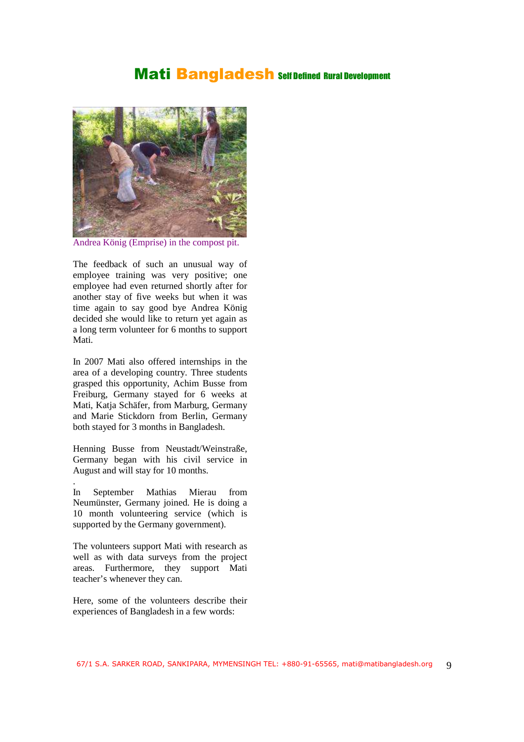

Andrea König (Emprise) in the compost pit.

The feedback of such an unusual way of employee training was very positive; one employee had even returned shortly after for another stay of five weeks but when it was time again to say good bye Andrea König decided she would like to return yet again as a long term volunteer for 6 months to support Mati.

In 2007 Mati also offered internships in the area of a developing country. Three students grasped this opportunity, Achim Busse from Freiburg, Germany stayed for 6 weeks at Mati, Katja Schäfer, from Marburg, Germany and Marie Stickdorn from Berlin, Germany both stayed for 3 months in Bangladesh.

Henning Busse from Neustadt/Weinstraße, Germany began with his civil service in August and will stay for 10 months.

.

In September Mathias Mierau from Neumünster, Germany joined. He is doing a 10 month volunteering service (which is supported by the Germany government).

The volunteers support Mati with research as well as with data surveys from the project areas. Furthermore, they support Mati teacher's whenever they can.

Here, some of the volunteers describe their experiences of Bangladesh in a few words: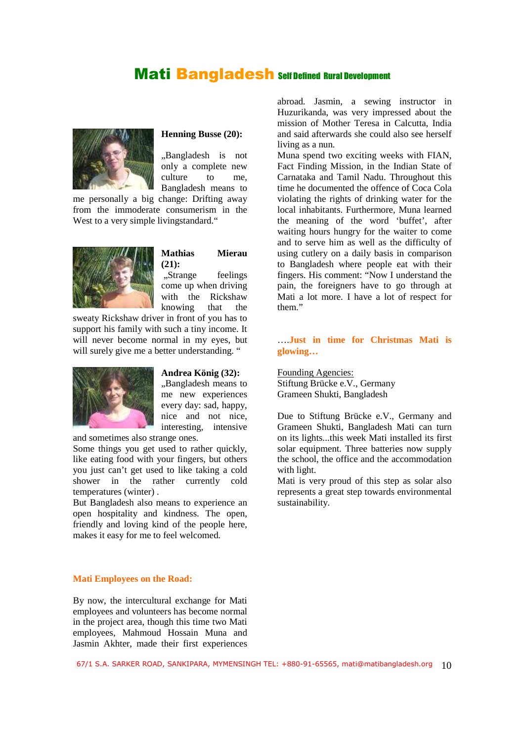

### **Henning Busse (20):**

.,Bangladesh is not only a complete new culture to me, Bangladesh means to

me personally a big change: Drifting away from the immoderate consumerism in the West to a very simple livingstandard."



#### **Mathias Mierau (21):**

.Strange feelings come up when driving with the Rickshaw knowing that the

sweaty Rickshaw driver in front of you has to support his family with such a tiny income. It will never become normal in my eyes, but will surely give me a better understanding. "



**Andrea König (32):**  "Bangladesh means to me new experiences every day: sad, happy, nice and not nice, interesting, intensive

and sometimes also strange ones.

Some things you get used to rather quickly, like eating food with your fingers, but others you just can't get used to like taking a cold shower in the rather currently cold temperatures (winter) .

But Bangladesh also means to experience an open hospitality and kindness. The open, friendly and loving kind of the people here, makes it easy for me to feel welcomed.

abroad. Jasmin, a sewing instructor in Huzurikanda, was very impressed about the mission of Mother Teresa in Calcutta, India and said afterwards she could also see herself living as a nun.

Muna spend two exciting weeks with FIAN, Fact Finding Mission, in the Indian State of Carnataka and Tamil Nadu. Throughout this time he documented the offence of Coca Cola violating the rights of drinking water for the local inhabitants. Furthermore, Muna learned the meaning of the word 'buffet', after waiting hours hungry for the waiter to come and to serve him as well as the difficulty of using cutlery on a daily basis in comparison to Bangladesh where people eat with their fingers. His comment: "Now I understand the pain, the foreigners have to go through at Mati a lot more. I have a lot of respect for them"

### ….**Just in time for Christmas Mati is glowing…**

Founding Agencies: Stiftung Brücke e.V., Germany Grameen Shukti, Bangladesh

Due to Stiftung Brücke e.V., Germany and Grameen Shukti, Bangladesh Mati can turn on its lights...this week Mati installed its first solar equipment. Three batteries now supply the school, the office and the accommodation with light.

Mati is very proud of this step as solar also represents a great step towards environmental sustainability.

#### **Mati Employees on the Road:**

By now, the intercultural exchange for Mati employees and volunteers has become normal in the project area, though this time two Mati employees, Mahmoud Hossain Muna and Jasmin Akhter, made their first experiences